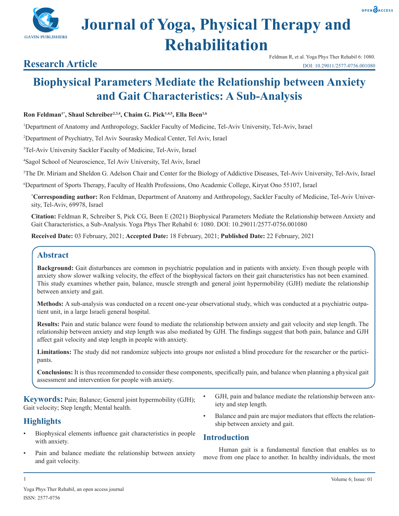# **Journal of Yoga, Physical Therapy and Rehabilitation**

Feldman R, et al. Yoga Phys Ther Rehabil 6: 1080. DOI: 10.29011/2577-0756.001080

# **Research Article**

# **Biophysical Parameters Mediate the Relationship between Anxiety and Gait Characteristics: A Sub-Analysis**

## **Ron Feldman1\*, Shaul Schreiber2,3,4, Chaim G. Pick1,4,5, Ella Been1,6**

1 Department of Anatomy and Anthropology, Sackler Faculty of Medicine, Tel-Aviv University, Tel-Aviv, Israel

2 Department of Psychiatry, Tel Aviv Sourasky Medical Center, Tel Aviv, Israel

3 Tel-Aviv University Sackler Faculty of Medicine, Tel-Aviv, Israel

4 Sagol School of Neuroscience, Tel Aviv University, Tel Aviv, Israel

5 The Dr. Miriam and Sheldon G. Adelson Chair and Center for the Biology of Addictive Diseases, Tel-Aviv University, Tel-Aviv, Israel

6 Department of Sports Therapy, Faculty of Health Professions, Ono Academic College, Kiryat Ono 55107, Israel

**\* Corresponding author:** Ron Feldman, Department of Anatomy and Anthropology, Sackler Faculty of Medicine, Tel-Aviv University, Tel-Aviv, 69978, Israel

**Citation:** Feldman R, Schreiber S, Pick CG, Been E (2021) Biophysical Parameters Mediate the Relationship between Anxiety and Gait Characteristics, a Sub-Analysis. Yoga Phys Ther Rehabil 6: 1080. DOI: 10.29011/2577-0756.001080

**Received Date:** 03 February, 2021; **Accepted Date:** 18 February, 2021; **Published Date:** 22 February, 2021

# **Abstract**

**Background:** Gait disturbances are common in psychiatric population and in patients with anxiety. Even though people with anxiety show slower walking velocity, the effect of the biophysical factors on their gait characteristics has not been examined. This study examines whether pain, balance, muscle strength and general joint hypermobility (GJH) mediate the relationship between anxiety and gait.

**Methods:** A sub-analysis was conducted on a recent one-year observational study, which was conducted at a psychiatric outpatient unit, in a large Israeli general hospital.

**Results:** Pain and static balance were found to mediate the relationship between anxiety and gait velocity and step length. The relationship between anxiety and step length was also mediated by GJH. The findings suggest that both pain, balance and GJH affect gait velocity and step length in people with anxiety.

**Limitations:** The study did not randomize subjects into groups nor enlisted a blind procedure for the researcher or the participants.

**Conclusions:** It is thus recommended to consider these components, specifically pain, and balance when planning a physical gait assessment and intervention for people with anxiety.

**Keywords:** Pain; Balance; General joint hypermobility (GJH); Gait velocity; Step length; Mental health.

# **Highlights**

- Biophysical elements influence gait characteristics in people with anxiety.
- Pain and balance mediate the relationship between anxiety and gait velocity.
- GJH, pain and balance mediate the relationship between anxiety and step length.
- Balance and pain are major mediators that effects the relationship between anxiety and gait.

### **Introduction**

Human gait is a fundamental function that enables us to move from one place to another. In healthy individuals, the most

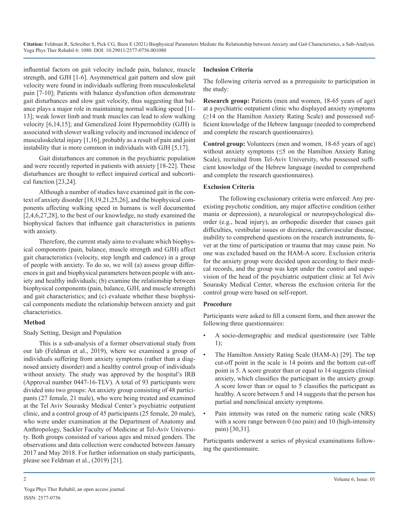influential factors on gait velocity include pain, balance, muscle strength, and GJH [1-6]. Asymmetrical gait pattern and slow gait velocity were found in individuals suffering from musculoskeletal pain [7-10]; Patients with balance dysfunction often demonstrate gait disturbances and slow gait velocity, thus suggesting that balance plays a major role in maintaining normal walking speed [11- 13]; weak lower limb and trunk muscles can lead to slow walking velocity [6,14,15]; and Generalized Joint Hypermobility (GJH) is associated with slower walking velocity and increased incidence of musculoskeletal injury [1,16], probably as a result of pain and joint instability that is more common in individuals with GJH [5,17].

Gait disturbances are common in the psychiatric population and were recently reported in patients with anxiety [18-22]. These disturbances are thought to reflect impaired cortical and subcortical function [23,24].

Although a number of studies have examined gait in the context of anxiety disorder [18,19,21,25,26], and the biophysical components affecting walking speed in humans is well documented [2,4,6,27,28], to the best of our knowledge, no study examined the biophysical factors that influence gait characteristics in patients with anxiety.

Therefore, the current study aims to evaluate which biophysical components (pain, balance, muscle strength and GJH) affect gait characteristics (velocity, step length and cadence) in a group of people with anxiety. To do so, we will (a) assess group differences in gait and biophysical parameters between people with anxiety and healthy individuals; (b) examine the relationship between biophysical components (pain, balance, GJH, and muscle strength) and gait characteristics; and (c) evaluate whether these biophysical components mediate the relationship between anxiety and gait characteristics.

#### **Method**

#### Study Setting, Design and Population

This is a sub-analysis of a former observational study from our lab (Feldman et al., 2019), where we examined a group of individuals suffering from anxiety symptoms (rather than a diagnosed anxiety disorder) and a healthy control group of individuals without anxiety. The study was approved by the hospital's IRB (Approval number 0447-16-TLV). A total of 93 participants were divided into two groups: An anxiety group consisting of 48 participants (27 female, 21 male), who were being treated and examined at the Tel Aviv Sourasky Medical Center's psychiatric outpatient clinic, and a control group of 45 participants (25 female, 20 male), who were under examination at the Department of Anatomy and Anthropology, Sackler Faculty of Medicine at Tel-Aviv University. Both groups consisted of various ages and mixed genders. The observations and data collection were conducted between January 2017 and May 2018. For further information on study participants, please see Feldman et al., (2019) [21].

#### **Inclusion Criteria**

The following criteria served as a prerequisite to participation in the study:

**Research group:** Patients (men and women, 18-65 years of age) at a psychiatric outpatient clinic who displayed anxiety symptoms (≥14 on the Hamilton Anxiety Rating Scale) and possessed sufficient knowledge of the Hebrew language (needed to comprehend and complete the research questionnaires).

**Control group:** Volunteers (men and women, 18-65 years of age) without anxiety symptoms  $(\leq 5$  on the Hamilton Anxiety Rating Scale), recruited from Tel-Aviv University, who possessed sufficient knowledge of the Hebrew language (needed to comprehend and complete the research questionnaires).

#### **Exclusion Criteria**

The following exclusionary criteria were enforced: Any preexisting psychotic condition, any major affective condition (either mania or depression), a neurological or neuropsychological disorder (e.g., head injury), an orthopedic disorder that causes gait difficulties, vestibular issues or dizziness, cardiovascular disease, inability to comprehend questions on the research instruments, fever at the time of participation or trauma that may cause pain. No one was excluded based on the HAM-A score. Exclusion criteria for the anxiety group were decided upon according to their medical records, and the group was kept under the control and supervision of the head of the psychiatric outpatient clinic at Tel Aviv Sourasky Medical Center, whereas the exclusion criteria for the control group were based on self-report.

#### **Procedure**

Participants were asked to fill a consent form, and then answer the following three questionnaires:

- A socio-demographic and medical questionnaire (see Table 1);
- The Hamilton Anxiety Rating Scale (HAM-A) [29]. The top cut-off point in the scale is 14 points and the bottom cut-off point is 5. A score greater than or equal to 14 suggests clinical anxiety, which classifies the participant in the anxiety group. A score lower than or equal to 5 classifies the participant as healthy. A score between 5 and 14 suggests that the person has partial and nonclinical anxiety symptoms.
- Pain intensity was rated on the numeric rating scale (NRS) with a score range between 0 (no pain) and 10 (high-intensity pain) [30,31].

Participants underwent a series of physical examinations following the questionnaire.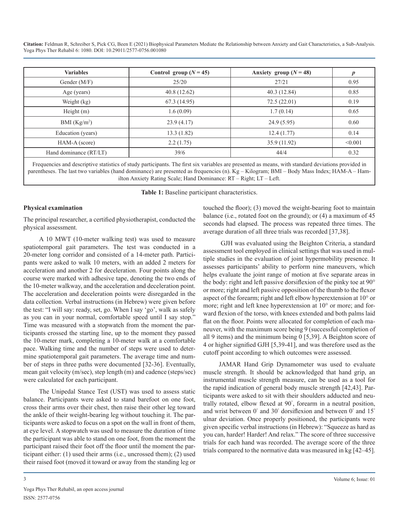| <b>Variables</b>       | Control group $(N=45)$ | Anxiety group $(N=48)$ | p       |
|------------------------|------------------------|------------------------|---------|
| Gender (M/F)           | 25/20                  | 27/21                  | 0.95    |
| Age (years)            | 40.8 (12.62)           | 40.3 (12.84)           | 0.85    |
| Weight (kg)            | 67.3 (14.95)           | 72.5 (22.01)           | 0.19    |
| Height $(m)$           | 1.6(0.09)              | 1.7(0.14)              | 0.65    |
| BMI $(Kg/m2)$          | 23.9(4.17)             | 24.9(5.95)             | 0.60    |
| Education (years)      | 13.3(1.82)             | 12.4(1.77)             | 0.14    |
| HAM-A (score)          | 2.2(1.75)              | 35.9 (11.92)           | < 0.001 |
| Hand dominance (RT/LT) | 39/6                   | 44/4                   | 0.32    |

Frequencies and descriptive statistics of study participants. The first six variables are presented as means, with standard deviations provided in parentheses. The last two variables (hand dominance) are presented as frequencies (n). Kg – Kilogram; BMI – Body Mass Index; HAM-A – Hamilton Anxiety Rating Scale; Hand Dominance: RT – Right; LT – Left.

**Table 1:** Baseline participant characteristics.

#### **Physical examination**

The principal researcher, a certified physiotherapist, conducted the physical assessment.

A 10 MWT (10-meter walking test) was used to measure spatiotemporal gait parameters. The test was conducted in a 20-meter long corridor and consisted of a 14-meter path. Participants were asked to walk 10 meters, with an added 2 meters for acceleration and another 2 for deceleration. Four points along the course were marked with adhesive tape, denoting the two ends of the 10-meter walkway, and the acceleration and deceleration point. The acceleration and deceleration points were disregarded in the data collection. Verbal instructions (in Hebrew) were given before the test: "I will say: ready, set, go. When I say 'go', walk as safely as you can in your normal, comfortable speed until I say stop." Time was measured with a stopwatch from the moment the participants crossed the starting line, up to the moment they passed the 10-meter mark, completing a 10-meter walk at a comfortable pace. Walking time and the number of steps were used to determine spatiotemporal gait parameters. The average time and number of steps in three paths were documented [32-36]. Eventually, mean gait velocity (m/sec), step length (m) and cadence (steps/sec) were calculated for each participant.

The Unipedal Stance Test (UST) was used to assess static balance. Participants were asked to stand barefoot on one foot, cross their arms over their chest, then raise their other leg toward the ankle of their weight-bearing leg without touching it. The participants were asked to focus on a spot on the wall in front of them, at eye level. A stopwatch was used to measure the duration of time the participant was able to stand on one foot, from the moment the participant raised their foot off the floor until the moment the participant either: (1) used their arms (i.e., uncrossed them); (2) used their raised foot (moved it toward or away from the standing leg or

touched the floor); (3) moved the weight-bearing foot to maintain balance (i.e., rotated foot on the ground); or (4) a maximum of 45 seconds had elapsed. The process was repeated three times. The average duration of all three trials was recorded [37,38].

 GJH was evaluated using the Beighton Criteria, a standard assessment tool employed in clinical settings that was used in multiple studies in the evaluation of joint hypermobility presence. It assesses participants' ability to perform nine maneuvers, which helps evaluate the joint range of motion at five separate areas in the body: right and left passive dorsiflexion of the pinky toe at 90° or more; right and left passive opposition of the thumb to the flexor aspect of the forearm; right and left elbow hyperextension at 10° or more; right and left knee hyperextension at 10° or more; and forward flexion of the torso, with knees extended and both palms laid flat on the floor. Points were allocated for completion of each maneuver, with the maximum score being 9 (successful completion of all 9 items) and the minimum being 0 [5,39]. A Beighton score of 4 or higher signified GJH [5,39-41], and was therefore used as the cutoff point according to which outcomes were assessed.

JAMAR Hand Grip Dynamometer was used to evaluate muscle strength. It should be acknowledged that hand grip, an instrumental muscle strength measure, can be used as a tool for the rapid indication of general body muscle strength [42,43]. Participants were asked to sit with their shoulders adducted and neutrally rotated, elbow flexed at 90° , forearm in a neutral position, and wrist between 0° and 30° dorsiflexion and between 0° and 15° ulnar deviation. Once properly positioned, the participants were given specific verbal instructions (in Hebrew): "Squeeze as hard as you can, harder! Harder! And relax." The score of three successive trials for each hand was recorded. The average score of the three trials compared to the normative data was measured in kg [42–45].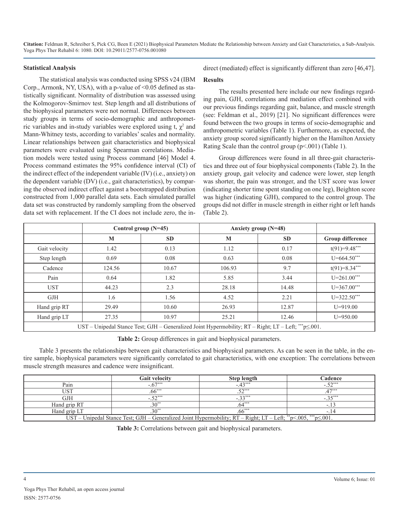#### **Statistical Analysis**

The statistical analysis was conducted using SPSS v24 (IBM Corp., Armonk, NY, USA), with a p-value of  $\leq 0.05$  defined as statistically significant. Normality of distribution was assessed using the Kolmogorov-Smirnov test. Step length and all distributions of the biophysical parameters were not normal. Differences between study groups in terms of socio-demographic and anthropometric variables and in-study variables were explored using t,  $\chi^2$  and Mann-Whitney tests, according to variables' scales and normality. Linear relationships between gait characteristics and biophysical parameters were evaluated using Spearman correlations. Mediation models were tested using Process command [46] Model 4. Process command estimates the 95% confidence interval (CI) of the indirect effect of the independent variable (IV) (i.e., anxiety) on the dependent variable (DV) (i.e., gait characteristics), by comparing the observed indirect effect against a bootstrapped distribution constructed from 1,000 parallel data sets. Each simulated parallel data set was constructed by randomly sampling from the observed data set with replacement. If the CI does not include zero, the indirect (mediated) effect is significantly different than zero [46,47].

#### **Results**

The results presented here include our new findings regarding pain, GJH, correlations and mediation effect combined with our previous findings regarding gait, balance, and muscle strength (see: Feldman et al., 2019) [21]. No significant differences were found between the two groups in terms of socio-demographic and anthropometric variables (Table 1). Furthermore, as expected, the anxiety group scored significantly higher on the Hamilton Anxiety Rating Scale than the control group (p<.001) (Table 1).

Group differences were found in all three-gait characteristics and three out of four biophysical components (Table 2). In the anxiety group, gait velocity and cadence were lower, step length was shorter, the pain was stronger, and the UST score was lower (indicating shorter time spent standing on one leg), Beighton score was higher (indicating GJH), compared to the control group. The groups did not differ in muscle strength in either right or left hands (Table 2).

|                                                                                                      | Control group $(N=45)$ |           | Anxiety group $(N=48)$ |           |                         |  |
|------------------------------------------------------------------------------------------------------|------------------------|-----------|------------------------|-----------|-------------------------|--|
|                                                                                                      | M                      | <b>SD</b> | M                      | <b>SD</b> | <b>Group difference</b> |  |
| Gait velocity                                                                                        | 1.42                   | 0.13      | 1.12                   | 0.17      | $t(91)=9.48***$         |  |
| Step length                                                                                          | 0.08<br>0.69           |           | 0.63                   | 0.08      | $U=664.50***$           |  |
| Cadence                                                                                              | 124.56                 | 10.67     | 106.93                 | 9.7       | $t(91)=8.34***$         |  |
| Pain                                                                                                 | 0.64                   | 1.82      | 5.85                   | 3.44      | $U=261.00***$           |  |
| <b>UST</b>                                                                                           | 44.23                  | 2.3       | 28.18                  | 14.48     | $U=367.00***$           |  |
| <b>GJH</b>                                                                                           | 1.6                    | 1.56      | 4.52                   | 2.21      | $U=322.50***$           |  |
| Hand grip RT                                                                                         | 29.49                  | 10.60     | 26.93                  | 12.87     |                         |  |
| Hand grip LT                                                                                         | 10.97<br>27.35         |           | 25.21                  | 12.46     | $U = 950.00$            |  |
| UST – Unipedal Stance Test; GJH – Generalized Joint Hypermobility; RT – Right; LT – Left; ***p≤.001. |                        |           |                        |           |                         |  |

**Table 2:** Group differences in gait and biophysical parameters.

Table 3 presents the relationships between gait characteristics and biophysical parameters. As can be seen in the table, in the entire sample, biophysical parameters were significantly correlated to gait characteristics, with one exception: The correlations between muscle strength measures and cadence were insignificant.

|                                                                                                                              | <b>Gait velocity</b> | Step length | Cadence   |  |  |
|------------------------------------------------------------------------------------------------------------------------------|----------------------|-------------|-----------|--|--|
| Pain                                                                                                                         | $-67***$             | $-.43***$   | $-.52***$ |  |  |
| UST                                                                                                                          | 66***                | $5.7***$    | 1 → * * * |  |  |
| GJH                                                                                                                          | $-.52***$            | $-33***$    | $2F***$   |  |  |
| Hand grip RT                                                                                                                 | $30^{**}$            | $.64***$    |           |  |  |
| Hand grip LT                                                                                                                 | $30^{**}$            |             | - 14      |  |  |
| UST – Unipedal Stance Test; GJH – Generalized Joint Hypermobility; $RT - Right$ ; $LT - Left$ ; $*p < 005$ , $**p \le 001$ . |                      |             |           |  |  |

**Table 3:** Correlations between gait and biophysical parameters.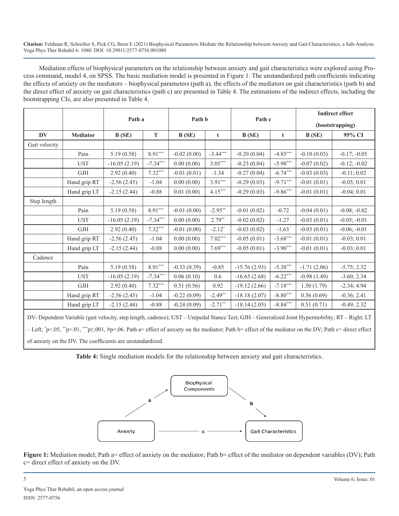Mediation effects of biophysical parameters on the relationship between anxiety and gait characteristics were explored using Process command, model 4, on SPSS. The basic mediation model is presented in Figure 1. The unstandardized path coefficients indicating the effects of anxiety on the mediators – biophysical parameters (path a), the effects of the mediators on gait characteristics (path b) and the direct effect of anxiety on gait characteristics (path c) are presented in Table 4. The estimations of the indirect effects, including the bootstrapping CIs, are also presented in Table 4.

|                                                                                                                                                                 |                 |                |            |               |             |                |            | <b>Indirect effect</b> |                |
|-----------------------------------------------------------------------------------------------------------------------------------------------------------------|-----------------|----------------|------------|---------------|-------------|----------------|------------|------------------------|----------------|
|                                                                                                                                                                 |                 | Path a         |            | Path b        |             | Path c         |            | (bootstrapping)        |                |
| <b>DV</b>                                                                                                                                                       | <b>Mediator</b> | B(SE)          | T          | B(SE)         | $\mathbf t$ | B(SE)          | t          | B(SE)                  | 95% CI         |
| Gait velocity                                                                                                                                                   |                 |                |            |               |             |                |            |                        |                |
|                                                                                                                                                                 | Pain            | 5.19(0.58)     | $8.91***$  | $-0.02(0.00)$ | $-3.44***$  | $-0.20(0.04)$  | $-4.85***$ | $-0.10(0.03)$          | $-0.17; -0.05$ |
|                                                                                                                                                                 | <b>UST</b>      | $-16.05(2.19)$ | $-7.34***$ | 0.00(0.00)    | $3.05***$   | $-0.23(0.04)$  | $-5.98***$ | $-0.07(0.02)$          | $-0.12; -0.02$ |
|                                                                                                                                                                 | <b>GJH</b>      | 2.92(0.40)     | $7.32***$  | $-0.01(0.01)$ | $-1.34$     | $-0.27(0.04)$  | $-6.74***$ | $-0.03(0.03)$          | $-0.11; 0.02$  |
|                                                                                                                                                                 | Hand grip RT    | $-2.56(2.45)$  | $-1.04$    | 0.00(0.00)    | $3.91***$   | $-0.29(0.03)$  | $-9.71***$ | $-0.01(0.01)$          | $-0.05; 0.01$  |
|                                                                                                                                                                 | Hand grip LT    | $-2.15(2.44)$  | $-0.88$    | 0.01(0.00)    | $4.15***$   | $-0.29(0.03)$  | $-9.86***$ | $-0.01(0.01)$          | $-0.04; 0.01$  |
| Step length                                                                                                                                                     |                 |                |            |               |             |                |            |                        |                |
|                                                                                                                                                                 | Pain            | 5.19(0.58)     | 8.91***    | $-0.01(0.00)$ | $-2.95***$  | $-0.01(0.02)$  | $-0.72$    | $-0.04(0.01)$          | $-0.08; -0.02$ |
|                                                                                                                                                                 | <b>UST</b>      | $-16.05(2.19)$ | $-7.34***$ | 0.00(0.00)    | $2.79**$    | $-0.02(0.02)$  | $-1.27$    | $-0.03(0.01)$          | $-0.05; -0.01$ |
|                                                                                                                                                                 | <b>GJH</b>      | 2.92(0.40)     | $7.32***$  | $-0.01(0.00)$ | $-2.12*$    | $-0.03(0.02)$  | $-1.63$    | $-0.03(0.01)$          | $-0.06; -0.01$ |
|                                                                                                                                                                 | Hand grip RT    | $-2.56(2.45)$  | $-1.04$    | 0.00(0.00)    | $7.02***$   | $-0.05(0.01)$  | $-3.68***$ | $-0.01(0.01)$          | $-0.03; 0.01$  |
|                                                                                                                                                                 | Hand grip LT    | $-2.15(2.44)$  | $-0.88$    | 0.00(0.00)    | $7.69***$   | $-0.05(0.01)$  | $-3.90***$ | $-0.01(0.01)$          | $-0.03; 0.01$  |
| Cadence                                                                                                                                                         |                 |                |            |               |             |                |            |                        |                |
|                                                                                                                                                                 | Pain            | 5.19(0.58)     | $8.91***$  | $-0.33(0.39)$ | $-0.85$     | $-15.76(2.93)$ | $-5.38***$ | $-1.71(2.06)$          | $-5.75; 2.32$  |
|                                                                                                                                                                 | <b>UST</b>      | $-16.05(2.19)$ | $-7.34***$ | 0.06(0.10)    | 0.6         | $-16.65(2.68)$ | $-6.22***$ | $-0.98(1.49)$          | $-3.60; 2.34$  |
|                                                                                                                                                                 | <b>GJH</b>      | 2.92(0.40)     | $7.32***$  | 0.51(0.56)    | 0.92        | $-19.12(2.66)$ | $-7.18***$ | 1.50(1.79)             | $-2.34; 4.94$  |
|                                                                                                                                                                 | Hand grip RT    | $-2.56(2.45)$  | $-1.04$    | $-0.22(0.09)$ | $-2.49**$   | $-18.18(2.07)$ | $-8.80***$ | 0.56(0.69)             | $-0.36; 2.41$  |
|                                                                                                                                                                 | Hand grip LT    | $-2.15(2.44)$  | $-0.88$    | $-0.24(0.09)$ | $-2.71**$   | $-18.14(2.05)$ | $-8.84***$ | 0.51(0.71)             | $-0.49; 2.32$  |
| DV- Dependent Variable (gait velocity, step length, cadence); UST - Unipedal Stance Test; GJH - Generalized Joint Hypermobility; RT - Right; LT                 |                 |                |            |               |             |                |            |                        |                |
| $-$ Left; $p<.05$ , $p<.01$ , $p<.001$ , $\#p=.06$ . Path a= effect of anxiety on the mediator; Path b= effect of the mediator on the DV; Path c= direct effect |                 |                |            |               |             |                |            |                        |                |
| of anxiety on the DV. The coefficients are unstandardized.                                                                                                      |                 |                |            |               |             |                |            |                        |                |

**Table 4:** Single mediation models for the relationship between anxiety and gait characteristics.



**Figure 1:** Mediation model; Path a= effect of anxiety on the mediator; Path b= effect of the mediator on dependent variables (DV); Path c= direct effect of anxiety on the DV.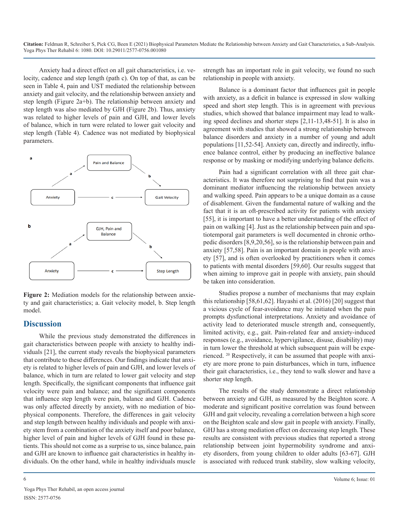Anxiety had a direct effect on all gait characteristics, i.e. velocity, cadence and step length (path c). On top of that, as can be seen in Table 4, pain and UST mediated the relationship between anxiety and gait velocity, and the relationship between anxiety and step length (Figure 2a+b). The relationship between anxiety and step length was also mediated by GJH (Figure 2b). Thus, anxiety was related to higher levels of pain and GJH, and lower levels of balance, which in turn were related to lower gait velocity and step length (Table 4). Cadence was not mediated by biophysical parameters.



**Figure 2:** Mediation models for the relationship between anxiety and gait characteristics; a. Gait velocity model, b. Step length model.

### **Discussion**

While the previous study demonstrated the differences in gait characteristics between people with anxiety to healthy individuals [21], the current study reveals the biophysical parameters that contribute to these differences. Our findings indicate that anxiety is related to higher levels of pain and GJH, and lower levels of balance, which in turn are related to lower gait velocity and step length. Specifically, the significant components that influence gait velocity were pain and balance; and the significant components that influence step length were pain, balance and GJH. Cadence was only affected directly by anxiety, with no mediation of biophysical components. Therefore, the differences in gait velocity and step length between healthy individuals and people with anxiety stem from a combination of the anxiety itself and poor balance, higher level of pain and higher levels of GJH found in these patients. This should not come as a surprise to us, since balance, pain and GJH are known to influence gait characteristics in healthy individuals. On the other hand, while in healthy individuals muscle

strength has an important role in gait velocity, we found no such relationship in people with anxiety.

Balance is a dominant factor that influences gait in people with anxiety, as a deficit in balance is expressed in slow walking speed and short step length. This is in agreement with previous studies, which showed that balance impairment may lead to walking speed declines and shorter steps [2,11-13,48-51]. It is also in agreement with studies that showed a strong relationship between balance disorders and anxiety in a number of young and adult populations [11,52-54]. Anxiety can, directly and indirectly, influence balance control, either by producing an ineffective balance response or by masking or modifying underlying balance deficits.

Pain had a significant correlation with all three gait characteristics. It was therefore not surprising to find that pain was a dominant mediator influencing the relationship between anxiety and walking speed. Pain appears to be a unique domain as a cause of disablement. Given the fundamental nature of walking and the fact that it is an oft-prescribed activity for patients with anxiety [55], it is important to have a better understanding of the effect of pain on walking [4]. Just as the relationship between pain and spatiotemporal gait parameters is well documented in chronic orthopedic disorders [8,9,20,56], so is the relationship between pain and anxiety [57,58]. Pain is an important domain in people with anxiety [57], and is often overlooked by practitioners when it comes to patients with mental disorders [59,60]. Our results suggest that when aiming to improve gait in people with anxiety, pain should be taken into consideration.

Studies propose a number of mechanisms that may explain this relationship [58,61,62]. Hayashi et al. (2016) [20] suggest that a vicious cycle of fear-avoidance may be initiated when the pain prompts dysfunctional interpretations. Anxiety and avoidance of activity lead to deteriorated muscle strength and, consequently, limited activity, e.g., gait. Pain-related fear and anxiety-induced responses (e.g., avoidance, hypervigilance, disuse, disability) may in turn lower the threshold at which subsequent pain will be experienced. 20 Respectively, it can be assumed that people with anxiety are more prone to pain disturbances, which in turn, influence their gait characteristics, i.e., they tend to walk slower and have a shorter step length.

The results of the study demonstrate a direct relationship between anxiety and GJH, as measured by the Beighton score. A moderate and significant positive correlation was found between GJH and gait velocity, revealing a correlation between a high score on the Beighton scale and slow gait in people with anxiety. Finally, GHJ has a strong mediation effect on decreasing step length. These results are consistent with previous studies that reported a strong relationship between joint hypermobility syndrome and anxiety disorders, from young children to older adults [63-67]. GJH is associated with reduced trunk stability, slow walking velocity,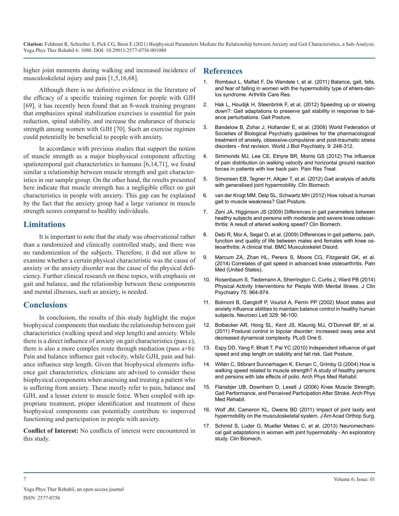higher joint moments during walking and increased incidence of musculoskeletal injury and pain [1,5,16,68].

Although there is no definitive evidence in the literature of the efficacy of a specific training regimen for people with GJH [69], it has recently been found that an 8-week training program that emphasizes spinal stabilization exercises is essential for pain reduction, spinal stability, and increase the endurance of thoracic strength among women with GJH [70]. Such an exercise regimen could potentially be beneficial to people with anxiety.

In accordance with previous studies that support the notion of muscle strength as a major biophysical component affecting spatiotemporal gait characteristics in humans [6,14,71], we found similar a relationship between muscle strength and gait characteristics in our sample group. On the other hand, the results presented here indicate that muscle strength has a negligible effect on gait characteristics in people with anxiety. This gap can be explained by the fact that the anxiety group had a large variance in muscle strength scores compared to healthy individuals.

# **Limitations**

It is important to note that the study was observational rather than a randomized and clinically controlled study, and there was no randomization of the subjects. Therefore, it did not allow to examine whether a certain physical characteristic was the cause of anxiety or the anxiety disorder was the cause of the physical deficiency. Further clinical research on these topics, with emphasis on gait and balance, and the relationship between these components and mental illnesses, such as anxiety, is needed.

# **Conclusions**

In conclusion, the results of this study highlight the major biophysical components that mediate the relationship between gait characteristics (walking speed and step length) and anxiety. While there is a direct influence of anxiety on gait characteristics (pass c), there is also a more complex route through mediation (pass a+b): Pain and balance influence gait velocity, while GJH, pain and balance influence step length. Given that biophysical elements influence gait characteristics, clinicians are advised to consider these biophysical components when assessing and treating a patient who is suffering from anxiety. These mostly refer to pain, balance and GJH, and a lesser extent to muscle force. When coupled with appropriate treatment, proper identification and treatment of these biophysical components can potentially contribute to improved functioning and participation in people with anxiety.

**Conflict of Interest:** No conflicts of interest were encountered in this study.

# **References**

- [Rombaut L, Malfait F, De Wandele I, et al. \(2011\) Balance, gait, falls,](https://pubmed.ncbi.nlm.nih.gov/21793229/) [and fear of falling in women with the hypermobility type of ehlers-dan](https://pubmed.ncbi.nlm.nih.gov/21793229/)[los syndrome. Arthritis Care Res.](https://pubmed.ncbi.nlm.nih.gov/21793229/)
- 2. [Hak L, Houdijk H, Steenbrink F, et al. \(2012\) Speeding up or slowing](https://pubmed.ncbi.nlm.nih.gov/22464635/)  [down?: Gait adaptations to preserve gait stability in response to bal](https://pubmed.ncbi.nlm.nih.gov/22464635/)[ance perturbations. Gait Posture](https://pubmed.ncbi.nlm.nih.gov/22464635/).
- 3. [Bandelow B, Zohar J, Hollander E, et al. \(2008\) World Federation of](https://pubmed.ncbi.nlm.nih.gov/18949648/)  [Societies of Biological Psychiatry guidelines for the pharmacological](https://pubmed.ncbi.nlm.nih.gov/18949648/)  [treatment of anxiety, obsessive-compulsive and post-traumatic stress](https://pubmed.ncbi.nlm.nih.gov/18949648/)  [disorders - first revision. World J Biol Psychiatry. 9: 248-312](https://pubmed.ncbi.nlm.nih.gov/18949648/).
- 4. [Simmonds MJ, Lee CE, Etnyre BR, Morris GS \(2012\) The influence](https://www.ncbi.nlm.nih.gov/pmc/articles/PMC3325118/)  [of pain distribution on walking velocity and horizontal ground reaction](https://www.ncbi.nlm.nih.gov/pmc/articles/PMC3325118/)  [forces in patients with low back pain. Pain Res Treat.](https://www.ncbi.nlm.nih.gov/pmc/articles/PMC3325118/)
- 5. [Simonsen EB, Tegner H, Alkjær T, et al. \(2012\) Gait analysis of adults](https://pubmed.ncbi.nlm.nih.gov/22364778/)  [with generalised joint hypermobility. Clin Biomech](https://pubmed.ncbi.nlm.nih.gov/22364778/).
- 6. [van der Krogt MM, Delp SL, Schwartz MH \(2012\) How robust is human](https://pubmed.ncbi.nlm.nih.gov/22386624/#:~:text=Our simulations revealed that normal,substantial increase in muscle stress.) [gait to muscle weakness? Gait Posture](https://pubmed.ncbi.nlm.nih.gov/22386624/#:~:text=Our simulations revealed that normal,substantial increase in muscle stress.).
- 7. [Zeni JA, Higginson JS \(2009\) Differences in gait parameters between](https://pubmed.ncbi.nlm.nih.gov/19285768/)  [healthy subjects and persons with moderate and severe knee osteoar](https://pubmed.ncbi.nlm.nih.gov/19285768/)[thritis: A result of altered walking speed? Clin Biomech.](https://pubmed.ncbi.nlm.nih.gov/19285768/)
- 8. [Debi R, Mor A, Segal O, et al. \(2009\) Differences in gait patterns, pain,](https://pubmed.ncbi.nlm.nih.gov/19825163/)  [function and quality of life between males and females with knee os](https://pubmed.ncbi.nlm.nih.gov/19825163/)[teoarthritis: A clinical trial. BMC Musculoskelet Disord.](https://pubmed.ncbi.nlm.nih.gov/19825163/)
- 9. [Marcum ZA, Zhan HL, Perera S, Moore CG, Fitzgerald GK, et al.](https://pubmed.ncbi.nlm.nih.gov/25040666/#:~:text=Conclusion%3A In a cross%2Dsectional,associated with decreased gait speed.) [\(2014\) Correlates of gait speed in advanced knee osteoarthritis. Pain](https://pubmed.ncbi.nlm.nih.gov/25040666/#:~:text=Conclusion%3A In a cross%2Dsectional,associated with decreased gait speed.)  [Med \(United States\).](https://pubmed.ncbi.nlm.nih.gov/25040666/#:~:text=Conclusion%3A In a cross%2Dsectional,associated with decreased gait speed.)
- 10. [Rosenbaum S, Tiedemann A, Sherrington C, Curtis J, Ward PB \(2014\)](https://pubmed.ncbi.nlm.nih.gov/24813261/)  [Physical Activity Interventions for People With Mental Illness. J Clin](https://pubmed.ncbi.nlm.nih.gov/24813261/)  [Psychiatry 75: 964-974.](https://pubmed.ncbi.nlm.nih.gov/24813261/)
- 11. [Bolmont B, Gangloff P, Vouriot A, Perrin PP \(2002\) Mood states and](https://pubmed.ncbi.nlm.nih.gov/12161271/)  [anxiety influence abilities to maintain balance control in healthy human](https://pubmed.ncbi.nlm.nih.gov/12161271/)  [subjects. Neurosci Lett 329: 96-100.](https://pubmed.ncbi.nlm.nih.gov/12161271/)
- 12. [Bolbecker AR, Hong SL, Kent JS, Klaunig MJ, O'Donnell BF, et al.](https://journals.plos.org/plosone/article?id=10.1371/journal.pone.0019824)  [\(2011\) Postural control in bipolar disorder: Increased sway area and](https://journals.plos.org/plosone/article?id=10.1371/journal.pone.0019824)  [decreased dynamical complexity. PLoS One 6.](https://journals.plos.org/plosone/article?id=10.1371/journal.pone.0019824)
- 13. [Espy DD, Yang F, Bhatt T, Pai YC \(2010\) Independent influence of gait](https://pubmed.ncbi.nlm.nih.gov/20655750/#:~:text=Recent studies have shown that,stability against slip%2Drelated falls.&text=The results supported our hypotheses,when a slip is encountered.)  [speed and step length on stability and fall risk. Gait Posture](https://pubmed.ncbi.nlm.nih.gov/20655750/#:~:text=Recent studies have shown that,stability against slip%2Drelated falls.&text=The results supported our hypotheses,when a slip is encountered.).
- 14. [Willén C, Stibrant Sunnerhagen K, Ekman C, Grimby G \(2004\) How is](https://pubmed.ncbi.nlm.nih.gov/15605327/)  [walking speed related to muscle strength? A study of healthy persons](https://pubmed.ncbi.nlm.nih.gov/15605327/)  [and persons with late effects of polio. Arch Phys Med Rehabil.](https://pubmed.ncbi.nlm.nih.gov/15605327/)
- 15. [Flansbjer UB, Downham D, Lexell J \(2006\) Knee Muscle Strength,](https://pubmed.ncbi.nlm.nih.gov/16813786/)  [Gait Performance, and Perceived Participation After Stroke. Arch Phys](https://pubmed.ncbi.nlm.nih.gov/16813786/)  [Med Rehabil.](https://pubmed.ncbi.nlm.nih.gov/16813786/)
- 16. [Wolf JM, Cameron KL, Owens BD \(2011\) Impact of joint laxity and](https://pubmed.ncbi.nlm.nih.gov/21807914/#:~:text=Hypermobility is common in young,and osteoarthritis of the hand.)  [hypermobility on the musculoskeletal system. J Am Acad Orthop Surg.](https://pubmed.ncbi.nlm.nih.gov/21807914/#:~:text=Hypermobility is common in young,and osteoarthritis of the hand.)
- 17. [Schmid S, Luder G, Mueller Mebes C, et al. \(2013\) Neuromechani](https://pubmed.ncbi.nlm.nih.gov/24120181/)[cal gait adaptations in women with joint hypermobility - An exploratory](https://pubmed.ncbi.nlm.nih.gov/24120181/) [study. Clin Biomech.](https://pubmed.ncbi.nlm.nih.gov/24120181/)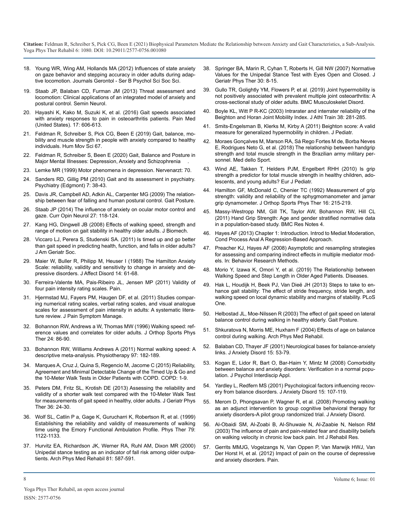- 18. [Young WR, Wing AM, Hollands MA \(2012\) Influences of state anxiety](https://pubmed.ncbi.nlm.nih.gov/21808071/)  [on gaze behavior and stepping accuracy in older adults during adap](https://pubmed.ncbi.nlm.nih.gov/21808071/)[tive locomotion. Journals Gerontol - Ser B Psychol Sci Soc Sci.](https://pubmed.ncbi.nlm.nih.gov/21808071/)
- 19. [Staab JP, Balaban CD, Furman JM \(2013\) Threat assessment and](https://pubmed.ncbi.nlm.nih.gov/24057833/) [locomotion: Clinical applications of an integrated model of anxiety and](https://pubmed.ncbi.nlm.nih.gov/24057833/)  [postural control. Semin Neurol.](https://pubmed.ncbi.nlm.nih.gov/24057833/)
- 20. [Hayashi K, Kako M, Suzuki K, et al. \(2016\) Gait speeds associated](https://academic.oup.com/painmedicine/article/17/3/606/1888476)  [with anxiety responses to pain in osteoarthritis patients. Pain Med](https://academic.oup.com/painmedicine/article/17/3/606/1888476)  [\(United States\). 17: 606-613.](https://academic.oup.com/painmedicine/article/17/3/606/1888476)
- 21. [Feldman R, Schreiber S, Pick CG, Been E \(2019\) Gait, balance, mo](https://pubmed.ncbi.nlm.nih.gov/31493621/)[bility and muscle strength in people with anxiety compared to healthy](https://pubmed.ncbi.nlm.nih.gov/31493621/)  [individuals. Hum Mov Sci 67.](https://pubmed.ncbi.nlm.nih.gov/31493621/)
- 22. [Feldman R, Schreiber S, Been E \(2020\) Gait, Balance and Posture in](https://www.researchgate.net/publication/338711223_Gait_Balance_and_Posture_in_Major_Mental_Illnesses_Depression_Anxiety_and_Schizophrenia)  [Major Mental Illnesses: Depression, Anxiety and Schizophrenia](https://www.researchgate.net/publication/338711223_Gait_Balance_and_Posture_in_Major_Mental_Illnesses_Depression_Anxiety_and_Schizophrenia) .
- 23. [Lemke MR \(1999\) Motor phenomena in depression. Nervenarzt: 70.](https://pubmed.ncbi.nlm.nih.gov/10434259/)
- 24. [Sanders RD, Gillig PM \(2010\) Gait and its assessment in psychiatry.](https://www.ncbi.nlm.nih.gov/pmc/articles/PMC2922365/)  [Psychiatry \(Edgmont\) 7: 38-43.](https://www.ncbi.nlm.nih.gov/pmc/articles/PMC2922365/)
- 25. [Davis JR, Campbell AD, Adkin AL, Carpenter MG \(2009\) The relation](https://pubmed.ncbi.nlm.nih.gov/18963992/#:~:text=Non%2Dfearful participants demonstrated a,COP displacements with increasing heights.)[ship between fear of falling and human postural control. Gait Posture](https://pubmed.ncbi.nlm.nih.gov/18963992/#:~:text=Non%2Dfearful participants demonstrated a,COP displacements with increasing heights.).
- 26. [Staab JP \(2014\) The influence of anxiety on ocular motor control and](https://pubmed.ncbi.nlm.nih.gov/24335800/)  [gaze. Curr Opin Neurol 27: 118-124](https://pubmed.ncbi.nlm.nih.gov/24335800/).
- 27. [Kang HG, Dingwell JB \(2008\) Effects of walking speed, strength and](https://pubmed.ncbi.nlm.nih.gov/18790480/#:~:text=Falls pose a tremendous risk,also caused by walking slower.)  [range of motion on gait stability in healthy older adults. J Biomech.](https://pubmed.ncbi.nlm.nih.gov/18790480/#:~:text=Falls pose a tremendous risk,also caused by walking slower.)
- 28. [Viccaro LJ, Perera S, Studenski SA. \(2011\) Is timed up and go better](https://pubmed.ncbi.nlm.nih.gov/21410448/)  [than gait speed in predicting health, function, and falls in older adults?](https://pubmed.ncbi.nlm.nih.gov/21410448/) [J Am Geriatr Soc](https://pubmed.ncbi.nlm.nih.gov/21410448/).
- 29. [Maier W, Buller R, Philipp M, Heuser I \(1988\) The Hamilton Anxiety](https://pubmed.ncbi.nlm.nih.gov/2963053/)  [Scale: reliability, validity and sensitivity to change in anxiety and de](https://pubmed.ncbi.nlm.nih.gov/2963053/)[pressive disorders. J Affect Disord 14: 61-68.](https://pubmed.ncbi.nlm.nih.gov/2963053/)
- 30. [Ferreira-Valente MA, Pais-Ribeiro JL, Jensen MP \(2011\) Validity of](https://pubmed.ncbi.nlm.nih.gov/21856077/#:~:text=Results showed statistically significant differences,in the responsivity between scales.)  [four pain intensity rating scales. Pain](https://pubmed.ncbi.nlm.nih.gov/21856077/#:~:text=Results showed statistically significant differences,in the responsivity between scales.).
- 31. [Hjermstad MJ, Fayers PM, Haugen DF, et al. \(2011\) Studies compar](https://pubmed.ncbi.nlm.nih.gov/21621130/)[ing numerical rating scales, verbal rating scales, and visual analogue](https://pubmed.ncbi.nlm.nih.gov/21621130/)  [scales for assessment of pain intensity in adults: A systematic litera](https://pubmed.ncbi.nlm.nih.gov/21621130/)[ture review. J Pain Symptom Manage.](https://pubmed.ncbi.nlm.nih.gov/21621130/)
- 32. [Bohannon RW, Andrews a W, Thomas MW \(1996\) Walking speed: ref](https://pubmed.ncbi.nlm.nih.gov/8832471/)[erence values and correlates for older adults. J Orthop Sports Phys](https://pubmed.ncbi.nlm.nih.gov/8832471/) [Ther 24: 86-90](https://pubmed.ncbi.nlm.nih.gov/8832471/).
- 33. [Bohannon RW, Williams Andrews A \(2011\) Normal walking speed: A](https://pubmed.ncbi.nlm.nih.gov/21820535/) [descriptive meta-analysis. Physiotherapy 97: 182-189.](https://pubmed.ncbi.nlm.nih.gov/21820535/)
- 34. [Marques A, Cruz J, Quina S, Regencio M, Jacome C \(2015\) Reliability,](https://pubmed.ncbi.nlm.nih.gov/26643361/) [Agreement and Minimal Detectable Change of the Timed Up & Go and](https://pubmed.ncbi.nlm.nih.gov/26643361/)  [the 10-Meter Walk Tests in Older Patients with COPD. COPD: 1-9.](https://pubmed.ncbi.nlm.nih.gov/26643361/)
- 35. [Peters DM, Fritz SL, Krotish DE \(2013\) Assessing the reliability and](https://pubmed.ncbi.nlm.nih.gov/22415358/)  [validity of a shorter walk test compared with the 10-Meter Walk Test](https://pubmed.ncbi.nlm.nih.gov/22415358/)  [for measurements of gait speed in healthy, older adults. J Geriatr Phys](https://pubmed.ncbi.nlm.nih.gov/22415358/)  [Ther 36: 24-30](https://pubmed.ncbi.nlm.nih.gov/22415358/).
- 36. [Wolf SL, Catlin P a, Gage K, Gurucharri K, Robertson R, et al. \(1999\)](https://pubmed.ncbi.nlm.nih.gov/10630281/)  [Establishing the reliability and validity of measurements of walking](https://pubmed.ncbi.nlm.nih.gov/10630281/)  [time using the Emory Functional Ambulation Profile. Phys Ther 79:](https://pubmed.ncbi.nlm.nih.gov/10630281/)  [1122-1133](https://pubmed.ncbi.nlm.nih.gov/10630281/).
- 37. [Hurvitz EA, Richardson JK, Werner RA, Ruhl AM, Dixon MR \(2000\)](https://pubmed.ncbi.nlm.nih.gov/10807096/)  [Unipedal stance testing as an indicator of fall risk among older outpa](https://pubmed.ncbi.nlm.nih.gov/10807096/)[tients. Arch Phys Med Rehabil 81: 587-591.](https://pubmed.ncbi.nlm.nih.gov/10807096/)
- 38. [Springer BA, Marin R, Cyhan T, Roberts H, Gill NW \(2007\) Normative](https://pubmed.ncbi.nlm.nih.gov/19839175/)  [Values for the Unipedal Stance Test with Eyes Open and Closed. J](https://pubmed.ncbi.nlm.nih.gov/19839175/) [Geriatr Phys Ther 30: 8-15.](https://pubmed.ncbi.nlm.nih.gov/19839175/)
- 39. [Gullo TR, Golightly YM, Flowers P, et al. \(2019\) Joint hypermobility is](https://pubmed.ncbi.nlm.nih.gov/30975124/)  [not positively associated with prevalent multiple joint osteoarthritis: A](https://pubmed.ncbi.nlm.nih.gov/30975124/)  [cross-sectional study of older adults. BMC Musculoskelet Disord.](https://pubmed.ncbi.nlm.nih.gov/30975124/)
- 40. [Boyle KL, Witt P R-KC \(2003\) Intrarater and interrater reliability of the](https://pubmed.ncbi.nlm.nih.gov/14737208/)  [Beighton and Horan Joint Mobility Index. J Athl Train 38: 281-285](https://pubmed.ncbi.nlm.nih.gov/14737208/).
- 41. [Smits-Engelsman B, Klerks M, Kirby A \(2011\) Beighton score: A valid](https://pubmed.ncbi.nlm.nih.gov/20850761/#:~:text=Results%3A More than 35%25 of,pain after exercise or sports.)  [measure for generalized hypermobility in children. J Pediatr.](https://pubmed.ncbi.nlm.nih.gov/20850761/#:~:text=Results%3A More than 35%25 of,pain after exercise or sports.)
- 42. [Moraes Gonçalves M, Marson RA, Sá Rego Fortes M de, Borba Neves](https://www.minervamedica.it/en/journals/medicina-dello-sport/article.php?cod=R26Y2018N03A0461) [E, Rodrigues Neto G, et al. \(2018\) The relationship between handgrip](https://www.minervamedica.it/en/journals/medicina-dello-sport/article.php?cod=R26Y2018N03A0461)  [strength and total muscle strength in the Brazilian army military per](https://www.minervamedica.it/en/journals/medicina-dello-sport/article.php?cod=R26Y2018N03A0461)[sonnel. Med dello Sport.](https://www.minervamedica.it/en/journals/medicina-dello-sport/article.php?cod=R26Y2018N03A0461)
- 43. [Wind AE, Takken T, Helders PJM, Engelbert RHH \(2010\) Is grip](https://pubmed.ncbi.nlm.nih.gov/19526369/#:~:text=Grip strength was strongly correlated,related to total muscle strength.)  [strength a predictor for total muscle strength in healthy children, ado](https://pubmed.ncbi.nlm.nih.gov/19526369/#:~:text=Grip strength was strongly correlated,related to total muscle strength.)[lescents, and young adults? Eur J Pediatr](https://pubmed.ncbi.nlm.nih.gov/19526369/#:~:text=Grip strength was strongly correlated,related to total muscle strength.).
- 44. [Hamilton GF, McDonald C, Chenier TC \(1992\) Measurement of grip](https://pubmed.ncbi.nlm.nih.gov/18796752/)  [strength: validity and reliability of the sphygmomanometer and jamar](https://pubmed.ncbi.nlm.nih.gov/18796752/)  [grip dynamometer. J Orthop Sports Phys Ther 16: 215-219.](https://pubmed.ncbi.nlm.nih.gov/18796752/)
- 45. [Massy-Westropp NM, Gill TK, Taylor AW, Bohannon RW, Hill CL](https://pubmed.ncbi.nlm.nih.gov/21492469/#:~:text=The study population was relatively,higher BMI between these ages.)  [\(2011\) Hand Grip Strength: Age and gender stratified normative data](https://pubmed.ncbi.nlm.nih.gov/21492469/#:~:text=The study population was relatively,higher BMI between these ages.)  [in a population-based study. BMC Res Notes 4](https://pubmed.ncbi.nlm.nih.gov/21492469/#:~:text=The study population was relatively,higher BMI between these ages.).
- 46. Hayes AF (2013) Chapter 1: Introduction. Introd to Mediat Moderation, Cond Process Anal A Regression-Based Approach.
- 47. [Preacher KJ, Hayes AF \(2008\) Asymptotic and resampling strategies](https://link.springer.com/article/10.3758/BRM.40.3.879)  [for assessing and comparing indirect effects in multiple mediator mod](https://link.springer.com/article/10.3758/BRM.40.3.879)[els. In: Behavior Research Methods.](https://link.springer.com/article/10.3758/BRM.40.3.879)
- 48. [Morio Y, Izawa K, Omori Y, et al. \(2019\) The Relationship between](https://pubmed.ncbi.nlm.nih.gov/30717332/#:~:text=Step length was determined from,to%2Dheight ratio was calculated.&text=The results suggest that the,aged 75 years or older.)  [Walking Speed and Step Length in Older Aged Patients. Diseases.](https://pubmed.ncbi.nlm.nih.gov/30717332/#:~:text=Step length was determined from,to%2Dheight ratio was calculated.&text=The results suggest that the,aged 75 years or older.)
- 49. [Hak L, Houdijk H, Beek PJ, Van Dieë JH \(2013\) Steps to take to en](https://pubmed.ncbi.nlm.nih.gov/24349379/#:~:text=Increasing stride frequency was found,or walking speed were found.)[hance gait stability: The effect of stride frequency, stride length, and](https://pubmed.ncbi.nlm.nih.gov/24349379/#:~:text=Increasing stride frequency was found,or walking speed were found.)  [walking speed on local dynamic stability and margins of stability. PLoS](https://pubmed.ncbi.nlm.nih.gov/24349379/#:~:text=Increasing stride frequency was found,or walking speed were found.)  [One.](https://pubmed.ncbi.nlm.nih.gov/24349379/#:~:text=Increasing stride frequency was found,or walking speed were found.)
- 50. [Helbostad JL, Moe-Nilssen R \(2003\) The effect of gait speed on lateral](https://pubmed.ncbi.nlm.nih.gov/14654205/)  [balance control during walking in healthy elderly. Gait Posture.](https://pubmed.ncbi.nlm.nih.gov/14654205/)
- 51. [Shkuratova N, Morris ME, Huxham F \(2004\) Effects of age on balance](https://pubmed.ncbi.nlm.nih.gov/15083433/#:~:text=Conclusions%3A Balance strategies during gait,extent as did younger adults.)  [control during walking. Arch Phys Med Rehabil.](https://pubmed.ncbi.nlm.nih.gov/15083433/#:~:text=Conclusions%3A Balance strategies during gait,extent as did younger adults.)
- 52. [Balaban CD, Thayer JF \(2001\) Neurological bases for balance-anxiety](https://pubmed.ncbi.nlm.nih.gov/11388358/)  [links. J Anxiety Disord 15: 53-79](https://pubmed.ncbi.nlm.nih.gov/11388358/).
- 53. [Kogan E, Lidor R, Bart O, Bar-Haim Y, Mintz M \(2008\) Comorbidity](https://pubmed.ncbi.nlm.nih.gov/19049239/)  [between balance and anxiety disorders: Verification in a normal popu](https://pubmed.ncbi.nlm.nih.gov/19049239/)[lation. J Psychol Interdiscip Appl.](https://pubmed.ncbi.nlm.nih.gov/19049239/)
- 54. [Yardley L, Redfern MS \(2001\) Psychological factors influencing recov](https://pubmed.ncbi.nlm.nih.gov/11388354/)[ery from balance disorders. J Anxiety Disord 15: 107-119.](https://pubmed.ncbi.nlm.nih.gov/11388354/)
- 55. [Merom D, Phongsavan P, Wagner R, et al. \(2008\) Promoting walking](https://pubmed.ncbi.nlm.nih.gov/17988832/)  [as an adjunct intervention to group cognitive behavioral therapy for](https://pubmed.ncbi.nlm.nih.gov/17988832/)  [anxiety disorders-A pilot group randomized trial. J Anxiety Disord.](https://pubmed.ncbi.nlm.nih.gov/17988832/)
- 56. [Al-Obaidi SM, Al-Zoabi B, Al-Shuwaie N, Al-Zaabie N, Nelson RM](https://pubmed.ncbi.nlm.nih.gov/12799603/)  [\(2003\) The influence of pain and pain-related fear and disability beliefs](https://pubmed.ncbi.nlm.nih.gov/12799603/)  [on walking velocity in chronic low back pain. Int J Rehabil Res.](https://pubmed.ncbi.nlm.nih.gov/12799603/)
- 57. [Gerrits MMJG, Vogelzangs N, Van Oppen P, Van Marwijk HWJ, Van](https://pubmed.ncbi.nlm.nih.gov/22154919/#:~:text=These associations were largely mediated,of depressive and anxiety disorders.)  [Der Horst H, et al. \(2012\) Impact of pain on the course of depressive](https://pubmed.ncbi.nlm.nih.gov/22154919/#:~:text=These associations were largely mediated,of depressive and anxiety disorders.)  [and anxiety disorders. Pain.](https://pubmed.ncbi.nlm.nih.gov/22154919/#:~:text=These associations were largely mediated,of depressive and anxiety disorders.)